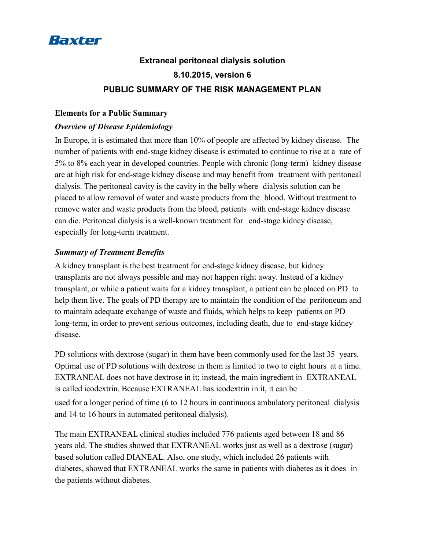

# **Extraneal peritoneal dialysis solution 8.10.2015, version 6 PUBLIC SUMMARY OF THE RISK MANAGEMENT PLAN**

#### **Elements for a Public Summary**

### *Overview of Disease Epidemiology*

In Europe, it is estimated that more than 10% of people are affected by kidney disease. The number of patients with end-stage kidney disease is estimated to continue to rise at a rate of 5% to 8% each year in developed countries. People with chronic (long-term) kidney disease are at high risk for end-stage kidney disease and may benefit from treatment with peritoneal dialysis. The peritoneal cavity is the cavity in the belly where dialysis solution can be placed to allow removal of water and waste products from the blood. Without treatment to remove water and waste products from the blood, patients with end-stage kidney disease can die. Peritoneal dialysis is a well-known treatment for end-stage kidney disease, especially for long-term treatment.

## *Summary of Treatment Benefits*

A kidney transplant is the best treatment for end-stage kidney disease, but kidney transplants are not always possible and may not happen right away. Instead of a kidney transplant, or while a patient waits for a kidney transplant, a patient can be placed on PD to help them live. The goals of PD therapy are to maintain the condition of the peritoneum and to maintain adequate exchange of waste and fluids, which helps to keep patients on PD long-term, in order to prevent serious outcomes, including death, due to end-stage kidney disease.

PD solutions with dextrose (sugar) in them have been commonly used for the last 35 years. Optimal use of PD solutions with dextrose in them is limited to two to eight hours at a time. EXTRANEAL does not have dextrose in it; instead, the main ingredient in EXTRANEAL is called icodextrin. Because EXTRANEAL has icodextrin in it, it can be used for a longer period of time (6 to 12 hours in continuous ambulatory peritoneal dialysis and 14 to 16 hours in automated peritoneal dialysis).

The main EXTRANEAL clinical studies included 776 patients aged between 18 and 86 years old. The studies showed that EXTRANEAL works just as well as a dextrose (sugar) based solution called DIANEAL. Also, one study, which included 26 patients with diabetes, showed that EXTRANEAL works the same in patients with diabetes as it does in the patients without diabetes.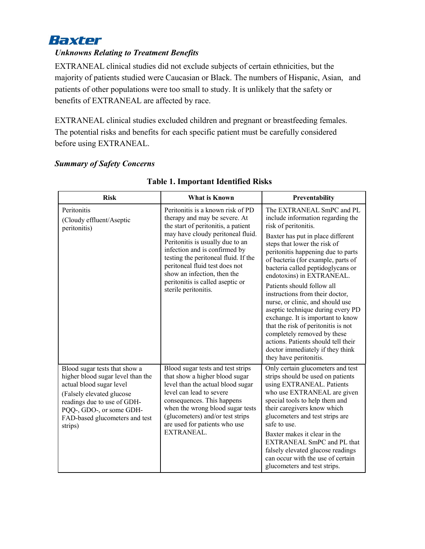

# *Unknowns Relating to Treatment Benefits*

EXTRANEAL clinical studies did not exclude subjects of certain ethnicities, but the majority of patients studied were Caucasian or Black. The numbers of Hispanic, Asian, and patients of other populations were too small to study. It is unlikely that the safety or benefits of EXTRANEAL are affected by race.

EXTRANEAL clinical studies excluded children and pregnant or breastfeeding females. The potential risks and benefits for each specific patient must be carefully considered before using EXTRANEAL.

#### *Summary of Safety Concerns*

| <b>Risk</b>                                                                                                                                                                                                                          | <b>What is Known</b>                                                                                                                                                                                                                                                                                                                                                                     | Preventability                                                                                                                                                                                                                                                                                                                                                                                                                                                                                                                                                                                                                                                      |
|--------------------------------------------------------------------------------------------------------------------------------------------------------------------------------------------------------------------------------------|------------------------------------------------------------------------------------------------------------------------------------------------------------------------------------------------------------------------------------------------------------------------------------------------------------------------------------------------------------------------------------------|---------------------------------------------------------------------------------------------------------------------------------------------------------------------------------------------------------------------------------------------------------------------------------------------------------------------------------------------------------------------------------------------------------------------------------------------------------------------------------------------------------------------------------------------------------------------------------------------------------------------------------------------------------------------|
| Peritonitis<br>(Cloudy effluent/Aseptic<br>peritonitis)                                                                                                                                                                              | Peritonitis is a known risk of PD<br>therapy and may be severe. At<br>the start of peritonitis, a patient<br>may have cloudy peritoneal fluid.<br>Peritonitis is usually due to an<br>infection and is confirmed by<br>testing the peritoneal fluid. If the<br>peritoneal fluid test does not<br>show an infection, then the<br>peritonitis is called aseptic or<br>sterile peritonitis. | The EXTRANEAL SmPC and PL<br>include information regarding the<br>risk of peritonitis.<br>Baxter has put in place different<br>steps that lower the risk of<br>peritonitis happening due to parts<br>of bacteria (for example, parts of<br>bacteria called peptidoglycans or<br>endotoxins) in EXTRANEAL.<br>Patients should follow all<br>instructions from their doctor,<br>nurse, or clinic, and should use<br>aseptic technique during every PD<br>exchange. It is important to know<br>that the risk of peritonitis is not<br>completely removed by these<br>actions. Patients should tell their<br>doctor immediately if they think<br>they have peritonitis. |
| Blood sugar tests that show a<br>higher blood sugar level than the<br>actual blood sugar level<br>(Falsely elevated glucose)<br>readings due to use of GDH-<br>PQQ-, GDO-, or some GDH-<br>FAD-based glucometers and test<br>strips) | Blood sugar tests and test strips<br>that show a higher blood sugar<br>level than the actual blood sugar<br>level can lead to severe<br>consequences. This happens<br>when the wrong blood sugar tests<br>(glucometers) and/or test strips<br>are used for patients who use<br>EXTRANEAL.                                                                                                | Only certain glucometers and test<br>strips should be used on patients<br>using EXTRANEAL. Patients<br>who use EXTRANEAL are given<br>special tools to help them and<br>their caregivers know which<br>glucometers and test strips are<br>safe to use.<br>Baxter makes it clear in the<br>EXTRANEAL SmPC and PL that<br>falsely elevated glucose readings<br>can occur with the use of certain<br>glucometers and test strips.                                                                                                                                                                                                                                      |

#### **Table 1. Important Identified Risks**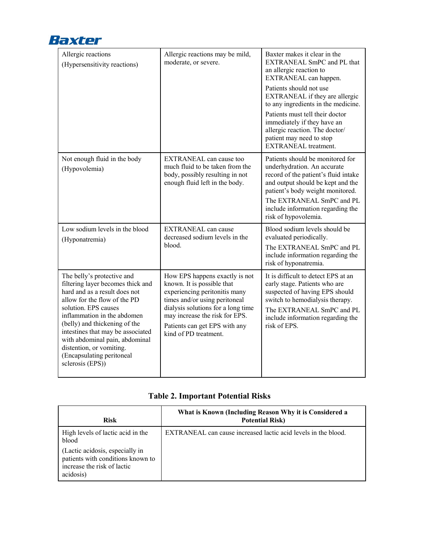

| Allergic reactions<br>(Hypersensitivity reactions)                                                                                                                                                                                                                                                                                                                           | Allergic reactions may be mild,<br>moderate, or severe.                                                                                                                                                                                                          | Baxter makes it clear in the<br>EXTRANEAL SmPC and PL that<br>an allergic reaction to<br>EXTRANEAL can happen.<br>Patients should not use<br>EXTRANEAL if they are allergic<br>to any ingredients in the medicine.<br>Patients must tell their doctor<br>immediately if they have an<br>allergic reaction. The doctor/<br>patient may need to stop<br><b>EXTRANEAL</b> treatment. |
|------------------------------------------------------------------------------------------------------------------------------------------------------------------------------------------------------------------------------------------------------------------------------------------------------------------------------------------------------------------------------|------------------------------------------------------------------------------------------------------------------------------------------------------------------------------------------------------------------------------------------------------------------|-----------------------------------------------------------------------------------------------------------------------------------------------------------------------------------------------------------------------------------------------------------------------------------------------------------------------------------------------------------------------------------|
| Not enough fluid in the body<br>(Hypovolemia)                                                                                                                                                                                                                                                                                                                                | <b>EXTRANEAL</b> can cause too<br>much fluid to be taken from the<br>body, possibly resulting in not<br>enough fluid left in the body.                                                                                                                           | Patients should be monitored for<br>underhydration. An accurate<br>record of the patient's fluid intake<br>and output should be kept and the<br>patient's body weight monitored.<br>The EXTRANEAL SmPC and PL<br>include information regarding the<br>risk of hypovolemia.                                                                                                        |
| Low sodium levels in the blood<br>(Hyponatremia)                                                                                                                                                                                                                                                                                                                             | <b>EXTRANEAL</b> can cause<br>decreased sodium levels in the<br>blood.                                                                                                                                                                                           | Blood sodium levels should be<br>evaluated periodically.<br>The EXTRANEAL SmPC and PL<br>include information regarding the<br>risk of hyponatremia.                                                                                                                                                                                                                               |
| The belly's protective and<br>filtering layer becomes thick and<br>hard and as a result does not<br>allow for the flow of the PD<br>solution. EPS causes<br>inflammation in the abdomen<br>(belly) and thickening of the<br>intestines that may be associated<br>with abdominal pain, abdominal<br>distention, or vomiting.<br>(Encapsulating peritoneal<br>sclerosis (EPS)) | How EPS happens exactly is not<br>known. It is possible that<br>experiencing peritonitis many<br>times and/or using peritoneal<br>dialysis solutions for a long time<br>may increase the risk for EPS.<br>Patients can get EPS with any<br>kind of PD treatment. | It is difficult to detect EPS at an<br>early stage. Patients who are<br>suspected of having EPS should<br>switch to hemodialysis therapy.<br>The EXTRANEAL SmPC and PL<br>include information regarding the<br>risk of EPS.                                                                                                                                                       |

# **Table 2. Important Potential Risks**

| <b>Risk</b>                                                                                                      | What is Known (Including Reason Why it is Considered a<br><b>Potential Risk)</b> |
|------------------------------------------------------------------------------------------------------------------|----------------------------------------------------------------------------------|
| High levels of lactic acid in the<br>blood                                                                       | EXTRANEAL can cause increased lactic acid levels in the blood.                   |
| (Lactic acidosis, especially in<br>patients with conditions known to<br>increase the risk of lactic<br>acidosis) |                                                                                  |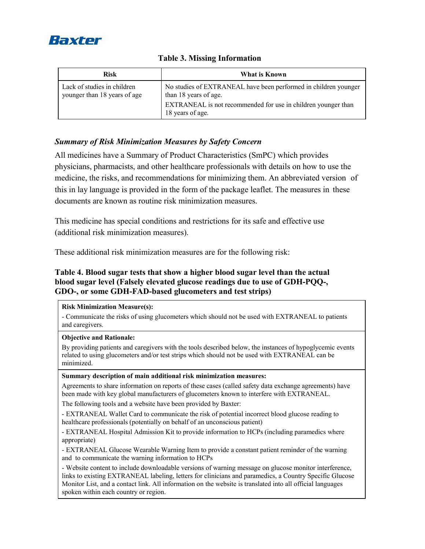

| <b>Risk</b>                                                 | What is Known                                                                                                                                                                 |
|-------------------------------------------------------------|-------------------------------------------------------------------------------------------------------------------------------------------------------------------------------|
| Lack of studies in children<br>younger than 18 years of age | No studies of EXTRANEAL have been performed in children younger<br>than 18 years of age.<br>EXTRANEAL is not recommended for use in children younger than<br>18 years of age. |

## **Table 3. Missing Information**

# *Summary of Risk Minimization Measures by Safety Concern*

All medicines have a Summary of Product Characteristics (SmPC) which provides physicians, pharmacists, and other healthcare professionals with details on how to use the medicine, the risks, and recommendations for minimizing them. An abbreviated version of this in lay language is provided in the form of the package leaflet. The measures in these documents are known as routine risk minimization measures.

This medicine has special conditions and restrictions for its safe and effective use (additional risk minimization measures).

These additional risk minimization measures are for the following risk:

# **Table 4. Blood sugar tests that show a higher blood sugar level than the actual blood sugar level (Falsely elevated glucose readings due to use of GDH-PQQ-, GDO-, or some GDH-FAD-based glucometers and test strips)**

#### **Risk Minimization Measure(s):**

- Communicate the risks of using glucometers which should not be used with EXTRANEAL to patients and caregivers.

#### **Objective and Rationale:**

By providing patients and caregivers with the tools described below, the instances of hypoglycemic events related to using glucometers and/or test strips which should not be used with EXTRANEAL can be minimized.

#### **Summary description of main additional risk minimization measures:**

Agreements to share information on reports of these cases (called safety data exchange agreements) have been made with key global manufacturers of glucometers known to interfere with EXTRANEAL.

The following tools and a website have been provided by Baxter:

- EXTRANEAL Wallet Card to communicate the risk of potential incorrect blood glucose reading to healthcare professionals (potentially on behalf of an unconscious patient)

- EXTRANEAL Hospital Admission Kit to provide information to HCPs (including paramedics where appropriate)

- EXTRANEAL Glucose Wearable Warning Item to provide a constant patient reminder of the warning and to communicate the warning information to HCPs

- Website content to include downloadable versions of warning message on glucose monitor interference, links to existing EXTRANEAL labeling, letters for clinicians and paramedics, a Country Specific Glucose Monitor List, and a contact link. All information on the website is translated into all official languages spoken within each country or region.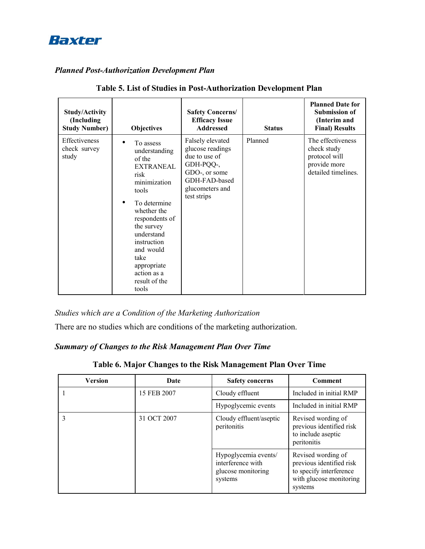

# *Planned Post-Authorization Development Plan*

| <b>Study/Activity</b><br>(Including<br><b>Study Number)</b> | <b>Objectives</b>                                                                                                                                                                                                                                                  | <b>Safety Concerns/</b><br><b>Efficacy Issue</b><br><b>Addressed</b>                                                                   | <b>Status</b> | <b>Planned Date for</b><br><b>Submission of</b><br>(Interim and<br><b>Final) Results</b> |
|-------------------------------------------------------------|--------------------------------------------------------------------------------------------------------------------------------------------------------------------------------------------------------------------------------------------------------------------|----------------------------------------------------------------------------------------------------------------------------------------|---------------|------------------------------------------------------------------------------------------|
| <b>Effectiveness</b><br>check survey<br>study               | To assess<br>understanding<br>of the<br><b>EXTRANEAL</b><br>risk<br>minimization<br>tools<br>To determine<br>whether the<br>respondents of<br>the survey<br>understand<br>instruction<br>and would<br>take<br>appropriate<br>action as a<br>result of the<br>tools | Falsely elevated<br>glucose readings<br>due to use of<br>GDH-PQQ-,<br>GDO-, or some<br>GDH-FAD-based<br>glucometers and<br>test strips | Planned       | The effectiveness<br>check study<br>protocol will<br>provide more<br>detailed timelines. |

| Table 5. List of Studies in Post-Authorization Development Plan |
|-----------------------------------------------------------------|
|-----------------------------------------------------------------|

*Studies which are a Condition of the Marketing Authorization*

There are no studies which are conditions of the marketing authorization.

# *Summary of Changes to the Risk Management Plan Over Time*

**Table 6. Major Changes to the Risk Management Plan Over Time**

| Version | Date        | <b>Safety concerns</b>                                                     | <b>Comment</b>                                                                                                  |
|---------|-------------|----------------------------------------------------------------------------|-----------------------------------------------------------------------------------------------------------------|
|         | 15 FEB 2007 | Cloudy effluent                                                            | Included in initial RMP                                                                                         |
|         |             | Hypoglycemic events                                                        | Included in initial RMP                                                                                         |
|         | 31 OCT 2007 | Cloudy effluent/aseptic<br>peritonitis                                     | Revised wording of<br>previous identified risk<br>to include aseptic<br>peritonitis                             |
|         |             | Hypoglycemia events/<br>interference with<br>glucose monitoring<br>systems | Revised wording of<br>previous identified risk<br>to specify interference<br>with glucose monitoring<br>systems |